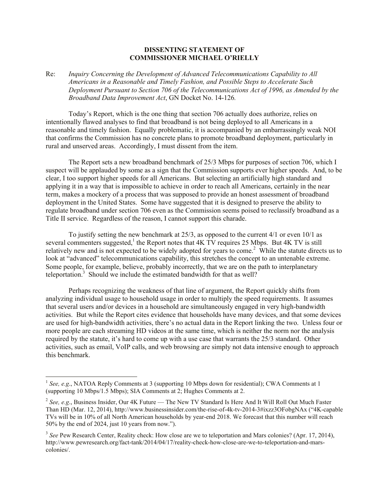## **DISSENTING STATEMENT OF COMMISSIONER MICHAEL O'RIELLY**

Re: *Inquiry Concerning the Development of Advanced Telecommunications Capability to All Americans in a Reasonable and Timely Fashion, and Possible Steps to Accelerate Such Deployment Pursuant to Section 706 of the Telecommunications Act of 1996, as Amended by the Broadband Data Improvement Act*, GN Docket No. 14-126*.*

Today's Report, which is the one thing that section 706 actually does authorize, relies on intentionally flawed analyses to find that broadband is not being deployed to all Americans in a reasonable and timely fashion. Equally problematic, it is accompanied by an embarrassingly weak NOI that confirms the Commission has no concrete plans to promote broadband deployment, particularly in rural and unserved areas. Accordingly, I must dissent from the item.

The Report sets a new broadband benchmark of 25/3 Mbps for purposes of section 706, which I suspect will be applauded by some as a sign that the Commission supports ever higher speeds. And, to be clear, I too support higher speeds for all Americans. But selecting an artificially high standard and applying it in a way that is impossible to achieve in order to reach all Americans, certainly in the near term, makes a mockery of a process that was supposed to provide an honest assessment of broadband deployment in the United States. Some have suggested that it is designed to preserve the ability to regulate broadband under section 706 even as the Commission seems poised to reclassify broadband as a Title II service. Regardless of the reason, I cannot support this charade.

To justify setting the new benchmark at  $25/3$ , as opposed to the current  $4/1$  or even  $10/1$  as several commenters suggested,<sup>1</sup> the Report notes that  $4K$  TV requires 25 Mbps. But  $4K$  TV is still relatively new and is not expected to be widely adopted for years to come.<sup>2</sup> While the statute directs us to look at "advanced" telecommunications capability, this stretches the concept to an untenable extreme. Some people, for example, believe, probably incorrectly, that we are on the path to interplanetary teleportation.<sup>3</sup> Should we include the estimated bandwidth for that as well?

Perhaps recognizing the weakness of that line of argument, the Report quickly shifts from analyzing individual usage to household usage in order to multiply the speed requirements. It assumes that several users and/or devices in a household are simultaneously engaged in very high-bandwidth activities. But while the Report cites evidence that households have many devices, and that some devices are used for high-bandwidth activities, there's no actual data in the Report linking the two. Unless four or more people are each streaming HD videos at the same time, which is neither the norm nor the analysis required by the statute, it's hard to come up with a use case that warrants the 25/3 standard. Other activities, such as email, VoIP calls, and web browsing are simply not data intensive enough to approach this benchmark.

l

<sup>&</sup>lt;sup>1</sup> See, e.g., NATOA Reply Comments at 3 (supporting 10 Mbps down for residential); CWA Comments at 1 (supporting 10 Mbps/1.5 Mbps); SIA Comments at 2; Hughes Comments at 2.

<sup>&</sup>lt;sup>2</sup> See, e.g., Business Insider, Our 4K Future — The New TV Standard Is Here And It Will Roll Out Much Faster Than HD (Mar. 12, 2014), http://www.businessinsider.com/the-rise-of-4k-tv-2014-3#ixzz3OFobgNAx ("4K-capable TVs will be in 10% of all North American households by year-end 2018. We forecast that this number will reach 50% by the end of 2024, just 10 years from now.").

<sup>&</sup>lt;sup>3</sup> See Pew Research Center, Reality check: How close are we to teleportation and Mars colonies? (Apr. 17, 2014), http://www.pewresearch.org/fact-tank/2014/04/17/reality-check-how-close-are-we-to-teleportation-and-marscolonies/.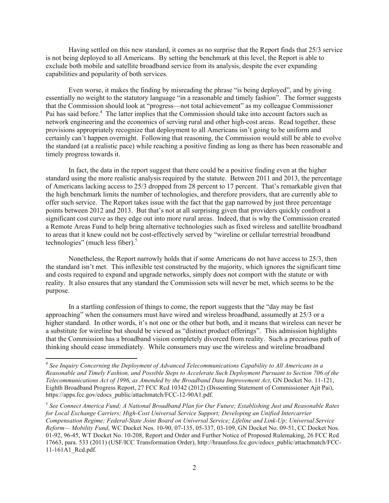Having settled on this new standard, it comes as no surprise that the Report finds that 25/3 service is not being deployed to all Americans. By setting the benchmark at this level, the Report is able to exclude both mobile and satellite broadband service from its analysis, despite the ever expanding capabilities and popularity of both services.

Even worse, it makes the finding by misreading the phrase "is being deployed", and by giving essentially no weight to the statutory language "in a reasonable and timely fashion". The former suggests that the Commission should look at "progress—not total achievement" as my colleague Commissioner Pai has said before.<sup>4</sup> The latter implies that the Commission should take into account factors such as network engineering and the economics of serving rural and other high-cost areas. Read together, these provisions appropriately recognize that deployment to all Americans isn't going to be uniform and certainly can't happen overnight. Following that reasoning, the Commission would still be able to evolve the standard (at a realistic pace) while reaching a positive finding as long as there has been reasonable and timely progress towards it.

In fact, the data in the report suggest that there could be a positive finding even at the higher standard using the more realistic analysis required by the statute. Between 2011 and 2013, the percentage of Americans lacking access to 25/3 dropped from 28 percent to 17 percent. That's remarkable given that the high benchmark limits the number of technologies, and therefore providers, that are currently able to offer such service. The Report takes issue with the fact that the gap narrowed by just three percentage points between 2012 and 2013. But that's not at all surprising given that providers quickly confront a significant cost curve as they edge out into more rural areas. Indeed, that is why the Commission created a Remote Areas Fund to help bring alternative technologies such as fixed wireless and satellite broadband to areas that it knew could not be cost-effectively served by "wireline or cellular terrestrial broadband technologies" (much less fiber). $5$ 

Nonetheless, the Report narrowly holds that if some Americans do not have access to 25/3, then the standard isn't met. This inflexible test constructed by the majority, which ignores the significant time and costs required to expand and upgrade networks, simply does not comport with the statute or with reality. It also ensures that any standard the Commission sets will never be met, which seems to be the purpose.

In a startling confession of things to come, the report suggests that the "day may be fast approaching" when the consumers must have wired and wireless broadband, assumedly at 25/3 or a higher standard. In other words, it's not one or the other but both, and it means that wireless can never be a substitute for wireline but should be viewed as "distinct product offerings". This admission highlights that the Commission has a broadband vision completely divorced from reality. Such a precarious path of thinking should cease immediately. While consumers may use the wireless and wireline broadband

 4 *See Inquiry Concerning the Deployment of Advanced Telecommunications Capability to All Americans in a Reasonable and Timely Fashion, and Possible Steps to Accelerate Such Deployment Pursuant to Section 706 of the Telecommunications Act of 1996, as Amended by the Broadband Data Improvement Act*, GN Docket No. 11-121, Eighth Broadband Progress Report, 27 FCC Rcd 10342 (2012) (Dissenting Statement of Commissioner Ajit Pai), https://apps.fcc.gov/edocs\_public/attachmatch/FCC-12-90A1.pdf.

<sup>5</sup> *See Connect America Fund; A National Broadband Plan for Our Future; Establishing Just and Reasonable Rates for Local Exchange Carriers; High-Cost Universal Service Support; Developing an Unified Intercarrier Compensation Regime; Federal-State Joint Board on Universal Service; Lifeline and Link-Up; Universal Service Reform— Mobility Fund*, WC Docket Nos. 10-90, 07-135, 05-337, 03-109, GN Docket No. 09-51, CC Docket Nos. 01-92, 96-45, WT Docket No. 10-208, Report and Order and Further Notice of Proposed Rulemaking, 26 FCC Rcd 17663, para. 533 (2011) (USF/ICC Transformation Order), http://hraunfoss.fcc.gov/edocs\_public/attachmatch/FCC-11-161A1\_Rcd.pdf.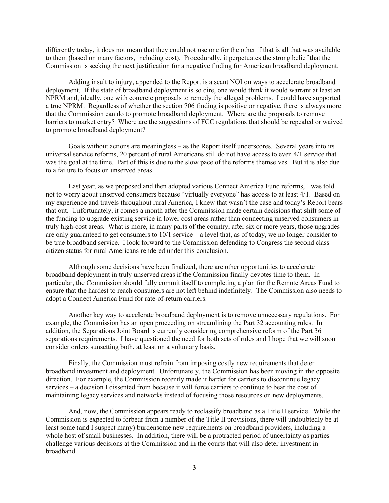differently today, it does not mean that they could not use one for the other if that is all that was available to them (based on many factors, including cost). Procedurally, it perpetuates the strong belief that the Commission is seeking the next justification for a negative finding for American broadband deployment.

Adding insult to injury, appended to the Report is a scant NOI on ways to accelerate broadband deployment. If the state of broadband deployment is so dire, one would think it would warrant at least an NPRM and, ideally, one with concrete proposals to remedy the alleged problems. I could have supported a true NPRM. Regardless of whether the section 706 finding is positive or negative, there is always more that the Commission can do to promote broadband deployment. Where are the proposals to remove barriers to market entry? Where are the suggestions of FCC regulations that should be repealed or waived to promote broadband deployment?

Goals without actions are meaningless – as the Report itself underscores. Several years into its universal service reforms, 20 percent of rural Americans still do not have access to even 4/1 service that was the goal at the time. Part of this is due to the slow pace of the reforms themselves. But it is also due to a failure to focus on unserved areas.

Last year, as we proposed and then adopted various Connect America Fund reforms, I was told not to worry about unserved consumers because "virtually everyone" has access to at least 4/1. Based on my experience and travels throughout rural America, I knew that wasn't the case and today's Report bears that out. Unfortunately, it comes a month after the Commission made certain decisions that shift some of the funding to upgrade existing service in lower cost areas rather than connecting unserved consumers in truly high-cost areas. What is more, in many parts of the country, after six or more years, those upgrades are only guaranteed to get consumers to 10/1 service – a level that, as of today, we no longer consider to be true broadband service. I look forward to the Commission defending to Congress the second class citizen status for rural Americans rendered under this conclusion.

Although some decisions have been finalized, there are other opportunities to accelerate broadband deployment in truly unserved areas if the Commission finally devotes time to them. In particular, the Commission should fully commit itself to completing a plan for the Remote Areas Fund to ensure that the hardest to reach consumers are not left behind indefinitely. The Commission also needs to adopt a Connect America Fund for rate-of-return carriers.

Another key way to accelerate broadband deployment is to remove unnecessary regulations. For example, the Commission has an open proceeding on streamlining the Part 32 accounting rules. In addition, the Separations Joint Board is currently considering comprehensive reform of the Part 36 separations requirements. I have questioned the need for both sets of rules and I hope that we will soon consider orders sunsetting both, at least on a voluntary basis.

Finally, the Commission must refrain from imposing costly new requirements that deter broadband investment and deployment. Unfortunately, the Commission has been moving in the opposite direction. For example, the Commission recently made it harder for carriers to discontinue legacy services – a decision I dissented from because it will force carriers to continue to bear the cost of maintaining legacy services and networks instead of focusing those resources on new deployments.

And, now, the Commission appears ready to reclassify broadband as a Title II service. While the Commission is expected to forbear from a number of the Title II provisions, there will undoubtedly be at least some (and I suspect many) burdensome new requirements on broadband providers, including a whole host of small businesses. In addition, there will be a protracted period of uncertainty as parties challenge various decisions at the Commission and in the courts that will also deter investment in broadband.